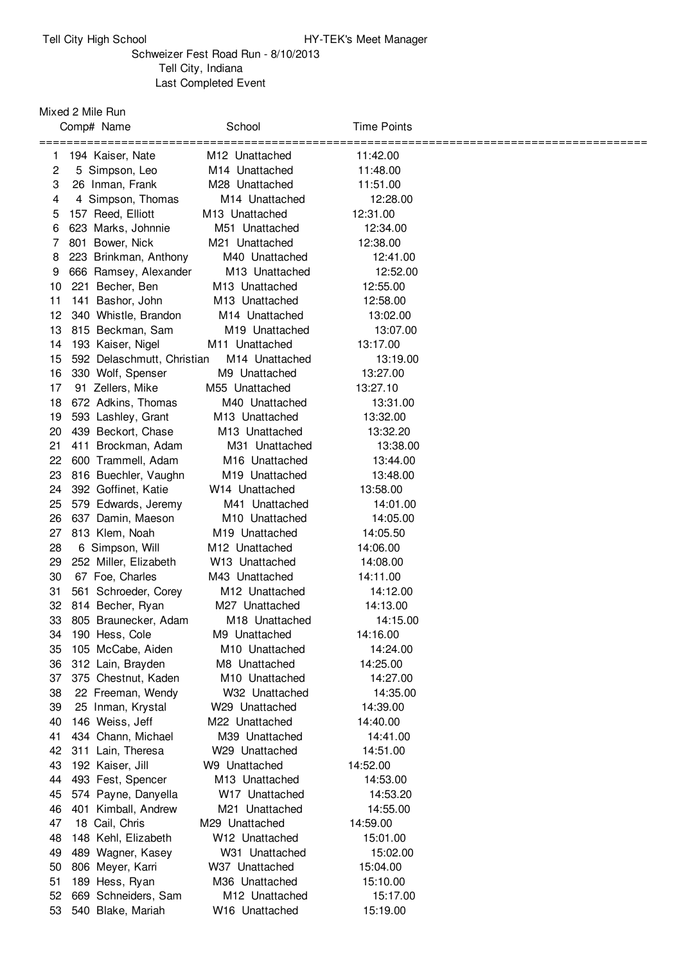## Schweizer Fest Road Run - 8/10/2013 Tell City, Indiana Last Completed Event

Mixed 2 Mile Run

|    | Comp# Name                                        | School                     | <b>Time Points</b> |  |
|----|---------------------------------------------------|----------------------------|--------------------|--|
| 1  | =============================<br>194 Kaiser, Nate | M <sub>12</sub> Unattached | 11:42.00           |  |
| 2  | 5 Simpson, Leo                                    | M <sub>14</sub> Unattached | 11:48.00           |  |
| 3  | 26 Inman, Frank                                   | M <sub>28</sub> Unattached | 11:51.00           |  |
| 4  | 4 Simpson, Thomas                                 | M14 Unattached             | 12:28.00           |  |
| 5  | 157 Reed, Elliott                                 | M <sub>13</sub> Unattached | 12:31.00           |  |
| 6  | 623 Marks, Johnnie                                | M51 Unattached             | 12:34.00           |  |
| 7  | 801 Bower, Nick                                   | M21 Unattached             | 12:38.00           |  |
| 8  | 223 Brinkman, Anthony                             | M40 Unattached             | 12:41.00           |  |
| 9  | 666 Ramsey, Alexander                             | M13 Unattached             | 12:52.00           |  |
| 10 | 221 Becher, Ben                                   | M13 Unattached             | 12:55.00           |  |
| 11 | 141 Bashor, John                                  | M13 Unattached             | 12:58.00           |  |
| 12 | 340 Whistle, Brandon                              | M <sub>14</sub> Unattached | 13:02.00           |  |
| 13 | 815 Beckman, Sam                                  | M <sub>19</sub> Unattached | 13:07.00           |  |
| 14 | 193 Kaiser, Nigel                                 | M11 Unattached             | 13:17.00           |  |
| 15 | 592 Delaschmutt, Christian                        | M <sub>14</sub> Unattached | 13:19.00           |  |
| 16 | 330 Wolf, Spenser                                 | M9 Unattached              | 13:27.00           |  |
| 17 | 91 Zellers, Mike                                  | M55 Unattached             | 13:27.10           |  |
| 18 | 672 Adkins, Thomas                                | M40 Unattached             | 13:31.00           |  |
| 19 | 593 Lashley, Grant                                | M <sub>13</sub> Unattached | 13:32.00           |  |
| 20 | 439 Beckort, Chase                                | M <sub>13</sub> Unattached | 13:32.20           |  |
| 21 | 411 Brockman, Adam                                | M31 Unattached             | 13:38.00           |  |
| 22 | 600 Trammell, Adam                                | M <sub>16</sub> Unattached | 13:44.00           |  |
| 23 | 816 Buechler, Vaughn                              | M19 Unattached             | 13:48.00           |  |
| 24 | 392 Goffinet, Katie                               | W <sub>14</sub> Unattached | 13:58.00           |  |
| 25 | 579 Edwards, Jeremy                               | M41 Unattached             | 14:01.00           |  |
| 26 | 637 Damin, Maeson                                 | M <sub>10</sub> Unattached | 14:05.00           |  |
| 27 | 813 Klem, Noah                                    | M19 Unattached             | 14:05.50           |  |
| 28 | 6 Simpson, Will                                   | M <sub>12</sub> Unattached | 14:06.00           |  |
| 29 | 252 Miller, Elizabeth                             | W <sub>13</sub> Unattached | 14:08.00           |  |
| 30 | 67 Foe, Charles                                   | M43 Unattached             | 14:11.00           |  |
| 31 | 561 Schroeder, Corey                              | M <sub>12</sub> Unattached | 14:12.00           |  |
| 32 | 814 Becher, Ryan                                  | M27 Unattached             | 14:13.00           |  |
| 33 | 805 Braunecker, Adam                              | M18 Unattached             | 14:15.00           |  |
| 34 | 190 Hess, Cole                                    | M9 Unattached              | 14:16.00           |  |
| 35 | 105 McCabe, Aiden                                 | M10 Unattached             | 14:24.00           |  |
| 36 | 312 Lain, Brayden                                 | M8 Unattached              | 14:25.00           |  |
| 37 | 375 Chestnut, Kaden                               | M <sub>10</sub> Unattached | 14:27.00           |  |
| 38 | 22 Freeman, Wendy                                 | W32 Unattached             | 14:35.00           |  |
| 39 | 25 Inman, Krystal                                 | W29 Unattached             | 14:39.00           |  |
| 40 | 146 Weiss, Jeff                                   | M22 Unattached             | 14:40.00           |  |
| 41 | 434 Chann, Michael                                | M39 Unattached             | 14:41.00           |  |
| 42 | 311 Lain, Theresa                                 | W29 Unattached             | 14:51.00           |  |
| 43 | 192 Kaiser, Jill                                  | W9 Unattached              | 14:52.00           |  |
| 44 | 493 Fest, Spencer                                 | M13 Unattached             | 14:53.00           |  |
| 45 | 574 Payne, Danyella                               | W17 Unattached             | 14:53.20           |  |
| 46 | 401 Kimball, Andrew                               | M21 Unattached             | 14:55.00           |  |
| 47 | 18 Cail, Chris                                    | M29 Unattached             | 14:59.00           |  |
| 48 | 148 Kehl, Elizabeth                               | W12 Unattached             | 15:01.00           |  |
| 49 | 489 Wagner, Kasey                                 | W31 Unattached             | 15:02.00           |  |
| 50 | 806 Meyer, Karri                                  | W37 Unattached             | 15:04.00           |  |
| 51 | 189 Hess, Ryan                                    | M36 Unattached             | 15:10.00           |  |
| 52 | 669 Schneiders, Sam                               | M12 Unattached             | 15:17.00           |  |
| 53 | 540 Blake, Mariah                                 | W <sub>16</sub> Unattached | 15:19.00           |  |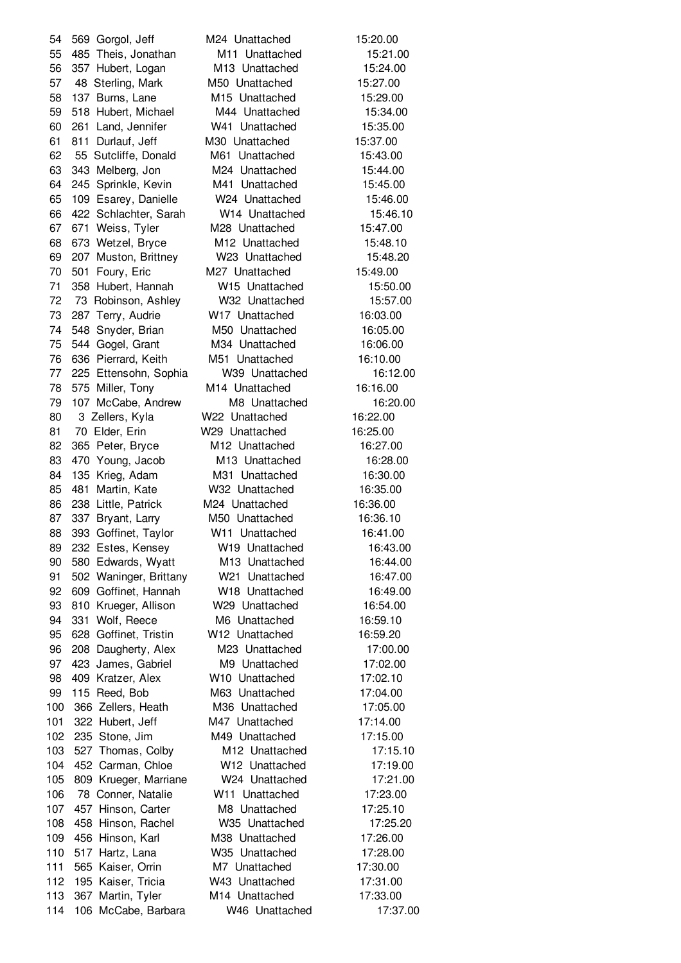569 Gorgol, Jeff M24 Unattached 15:20.00 485 Theis, Jonathan M11 Unattached 15:21.00 357 Hubert, Logan M13 Unattached 15:24.00 48 Sterling, Mark M50 Unattached 15:27.00 137 Burns, Lane M15 Unattached 15:29.00 518 Hubert, Michael M44 Unattached 15:34.00 261 Land, Jennifer W41 Unattached 15:35.00 811 Durlauf, Jeff M30 Unattached 15:37.00 55 Sutcliffe, Donald M61 Unattached 15:43.00 343 Melberg, Jon M24 Unattached 15:44.00 245 Sprinkle, Kevin M41 Unattached 15:45.00 109 Esarey, Danielle W24 Unattached 15:46.00 422 Schlachter, Sarah W14 Unattached 15:46.10 671 Weiss, Tyler M28 Unattached 15:47.00 673 Wetzel, Bryce M12 Unattached 15:48.10 207 Muston, Brittney W23 Unattached 15:48.20 501 Foury, Eric M27 Unattached 15:49.00 358 Hubert, Hannah W15 Unattached 15:50.00 73 Robinson, Ashley W32 Unattached 15:57.00 287 Terry, Audrie W17 Unattached 16:03.00 548 Snyder, Brian M50 Unattached 16:05.00 544 Gogel, Grant M34 Unattached 16:06.00 636 Pierrard, Keith M51 Unattached 16:10.00 225 Ettensohn, Sophia W39 Unattached 16:12.00 575 Miller, Tony M14 Unattached 16:16.00 107 McCabe, Andrew M8 Unattached 16:20.00 3 Zellers, Kyla W22 Unattached 16:22.00 70 Elder, Erin W29 Unattached 16:25.00 365 Peter, Bryce M12 Unattached 16:27.00 470 Young, Jacob M13 Unattached 16:28.00 135 Krieg, Adam M31 Unattached 16:30.00 481 Martin, Kate W32 Unattached 16:35.00 238 Little, Patrick M24 Unattached 16:36.00 337 Bryant, Larry M50 Unattached 16:36.10 88 393 Goffinet, Taylor W11 Unattached 16:41.00 232 Estes, Kensey W19 Unattached 16:43.00 580 Edwards, Wyatt M13 Unattached 16:44.00 502 Waninger, Brittany W21 Unattached 16:47.00 609 Goffinet, Hannah W18 Unattached 16:49.00 810 Krueger, Allison W29 Unattached 16:54.00 331 Wolf, Reece M6 Unattached 16:59.10 628 Goffinet, Tristin W12 Unattached 16:59.20 96 208 Daugherty, Alex M23 Unattached 17:00.00 423 James, Gabriel M9 Unattached 17:02.00 409 Kratzer, Alex W10 Unattached 17:02.10 115 Reed, Bob M63 Unattached 17:04.00 366 Zellers, Heath M36 Unattached 17:05.00 322 Hubert, Jeff M47 Unattached 17:14.00 235 Stone, Jim M49 Unattached 17:15.00 527 Thomas, Colby M12 Unattached 17:15.10 452 Carman, Chloe W12 Unattached 17:19.00 809 Krueger, Marriane W24 Unattached 17:21.00 78 Conner, Natalie W11 Unattached 17:23.00 457 Hinson, Carter M8 Unattached 17:25.10 458 Hinson, Rachel W35 Unattached 17:25.20 456 Hinson, Karl M38 Unattached 17:26.00 517 Hartz, Lana W35 Unattached 17:28.00 565 Kaiser, Orrin M7 Unattached 17:30.00 195 Kaiser, Tricia W43 Unattached 17:31.00 367 Martin, Tyler M14 Unattached 17:33.00 106 McCabe, Barbara W46 Unattached 17:37.00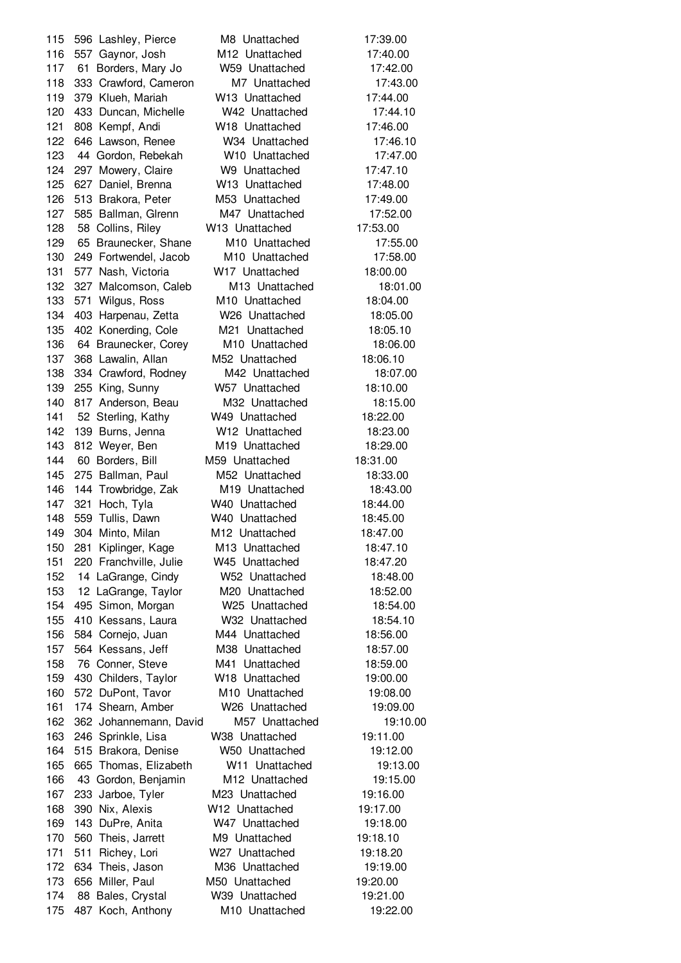596 Lashley, Pierce M8 Unattached 17:39.00 557 Gaynor, Josh M12 Unattached 17:40.00 61 Borders, Mary Jo W59 Unattached 17:42.00 333 Crawford, Cameron M7 Unattached 17:43.00 379 Klueh, Mariah W13 Unattached 17:44.00 433 Duncan, Michelle W42 Unattached 17:44.10 808 Kempf, Andi W18 Unattached 17:46.00 646 Lawson, Renee W34 Unattached 17:46.10 44 Gordon, Rebekah W10 Unattached 17:47.00 297 Mowery, Claire W9 Unattached 17:47.10 627 Daniel, Brenna W13 Unattached 17:48.00 513 Brakora, Peter M53 Unattached 17:49.00 585 Ballman, Glrenn M47 Unattached 17:52.00 58 Collins, Riley W13 Unattached 17:53.00 65 Braunecker, Shane M10 Unattached 17:55.00 249 Fortwendel, Jacob M10 Unattached 17:58.00 577 Nash, Victoria W17 Unattached 18:00.00 327 Malcomson, Caleb M13 Unattached 18:01.00 571 Wilgus, Ross M10 Unattached 18:04.00 403 Harpenau, Zetta W26 Unattached 18:05.00 402 Konerding, Cole M21 Unattached 18:05.10 64 Braunecker, Corey M10 Unattached 18:06.00 368 Lawalin, Allan M52 Unattached 18:06.10 334 Crawford, Rodney M42 Unattached 18:07.00 255 King, Sunny W57 Unattached 18:10.00 817 Anderson, Beau M32 Unattached 18:15.00 52 Sterling, Kathy W49 Unattached 18:22.00 139 Burns, Jenna W12 Unattached 18:23.00 812 Weyer, Ben M19 Unattached 18:29.00 60 Borders, Bill M59 Unattached 18:31.00 275 Ballman, Paul M52 Unattached 18:33.00 144 Trowbridge, Zak M19 Unattached 18:43.00 321 Hoch, Tyla W40 Unattached 18:44.00 559 Tullis, Dawn W40 Unattached 18:45.00 304 Minto, Milan M12 Unattached 18:47.00 281 Kiplinger, Kage M13 Unattached 18:47.10 220 Franchville, Julie W45 Unattached 18:47.20 14 LaGrange, Cindy W52 Unattached 18:48.00 12 LaGrange, Taylor M20 Unattached 18:52.00 495 Simon, Morgan W25 Unattached 18:54.00 410 Kessans, Laura W32 Unattached 18:54.10 584 Cornejo, Juan M44 Unattached 18:56.00 564 Kessans, Jeff M38 Unattached 18:57.00 76 Conner, Steve M41 Unattached 18:59.00 430 Childers, Taylor W18 Unattached 19:00.00 572 DuPont, Tavor M10 Unattached 19:08.00 174 Shearn, Amber W26 Unattached 19:09.00 362 Johannemann, David M57 Unattached 19:10.00 246 Sprinkle, Lisa W38 Unattached 19:11.00 515 Brakora, Denise W50 Unattached 19:12.00 665 Thomas, Elizabeth W11 Unattached 19:13.00 43 Gordon, Benjamin M12 Unattached 19:15.00 233 Jarboe, Tyler M23 Unattached 19:16.00 390 Nix, Alexis W12 Unattached 19:17.00 143 DuPre, Anita W47 Unattached 19:18.00 560 Theis, Jarrett M9 Unattached 19:18.10 511 Richey, Lori W27 Unattached 19:18.20 634 Theis, Jason M36 Unattached 19:19.00 656 Miller, Paul M50 Unattached 19:20.00 88 Bales, Crystal W39 Unattached 19:21.00 487 Koch, Anthony M10 Unattached 19:22.00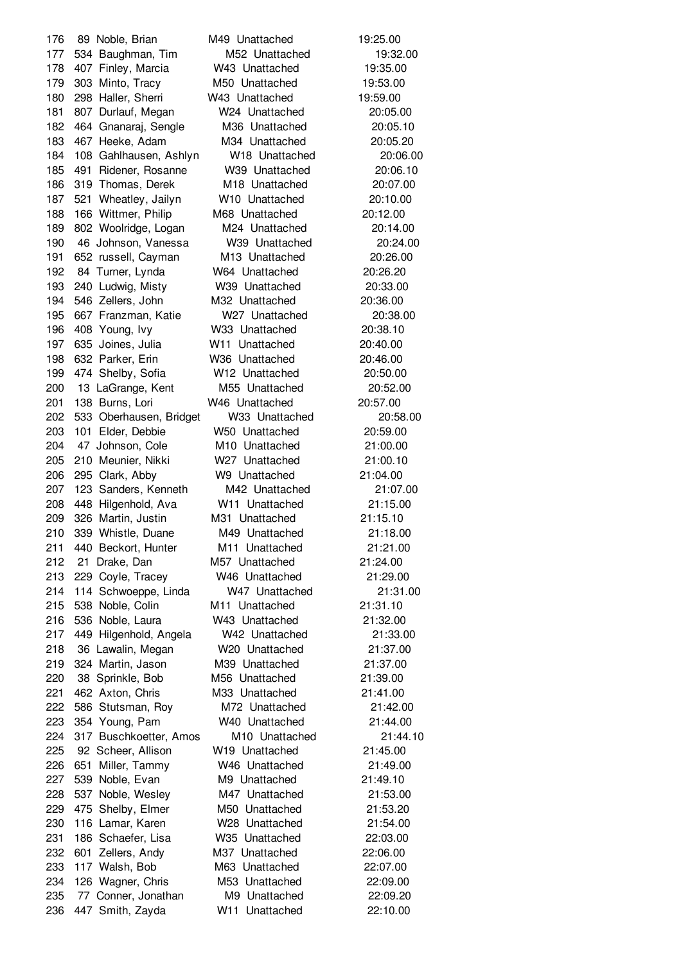89 Noble, Brian M49 Unattached 19:25.00 534 Baughman, Tim M52 Unattached 19:32.00 407 Finley, Marcia W43 Unattached 19:35.00 303 Minto, Tracy M50 Unattached 19:53.00 298 Haller, Sherri W43 Unattached 19:59.00 807 Durlauf, Megan W24 Unattached 20:05.00 464 Gnanaraj, Sengle M36 Unattached 20:05.10 467 Heeke, Adam M34 Unattached 20:05.20 108 Gahlhausen, Ashlyn W18 Unattached 20:06.00 491 Ridener, Rosanne W39 Unattached 20:06.10 319 Thomas, Derek M18 Unattached 20:07.00 521 Wheatley, Jailyn W10 Unattached 20:10.00 166 Wittmer, Philip M68 Unattached 20:12.00 802 Woolridge, Logan M24 Unattached 20:14.00 46 Johnson, Vanessa W39 Unattached 20:24.00 652 russell, Cayman M13 Unattached 20:26.00 84 Turner, Lynda W64 Unattached 20:26.20 240 Ludwig, Misty W39 Unattached 20:33.00 546 Zellers, John M32 Unattached 20:36.00 667 Franzman, Katie W27 Unattached 20:38.00 408 Young, Ivy W33 Unattached 20:38.10 635 Joines, Julia W11 Unattached 20:40.00 632 Parker, Erin W36 Unattached 20:46.00 474 Shelby, Sofia W12 Unattached 20:50.00 13 LaGrange, Kent M55 Unattached 20:52.00 138 Burns, Lori W46 Unattached 20:57.00 533 Oberhausen, Bridget W33 Unattached 20:58.00 101 Elder, Debbie W50 Unattached 20:59.00 47 Johnson, Cole M10 Unattached 21:00.00 210 Meunier, Nikki W27 Unattached 21:00.10 295 Clark, Abby W9 Unattached 21:04.00 123 Sanders, Kenneth M42 Unattached 21:07.00 448 Hilgenhold, Ava W11 Unattached 21:15.00 326 Martin, Justin M31 Unattached 21:15.10 339 Whistle, Duane M49 Unattached 21:18.00 440 Beckort, Hunter M11 Unattached 21:21.00 21 Drake, Dan M57 Unattached 21:24.00 229 Coyle, Tracey W46 Unattached 21:29.00 114 Schwoeppe, Linda W47 Unattached 21:31.00 538 Noble, Colin M11 Unattached 21:31.10 536 Noble, Laura W43 Unattached 21:32.00 449 Hilgenhold, Angela W42 Unattached 21:33.00 36 Lawalin, Megan W20 Unattached 21:37.00 324 Martin, Jason M39 Unattached 21:37.00 38 Sprinkle, Bob M56 Unattached 21:39.00 462 Axton, Chris M33 Unattached 21:41.00 586 Stutsman, Roy M72 Unattached 21:42.00 354 Young, Pam W40 Unattached 21:44.00 317 Buschkoetter, Amos M10 Unattached 21:44.10 92 Scheer, Allison W19 Unattached 21:45.00 651 Miller, Tammy W46 Unattached 21:49.00 539 Noble, Evan M9 Unattached 21:49.10 537 Noble, Wesley M47 Unattached 21:53.00 475 Shelby, Elmer M50 Unattached 21:53.20 116 Lamar, Karen W28 Unattached 21:54.00 186 Schaefer, Lisa W35 Unattached 22:03.00 601 Zellers, Andy M37 Unattached 22:06.00 117 Walsh, Bob M63 Unattached 22:07.00 126 Wagner, Chris M53 Unattached 22:09.00 77 Conner, Jonathan M9 Unattached 22:09.20 447 Smith, Zayda W11 Unattached 22:10.00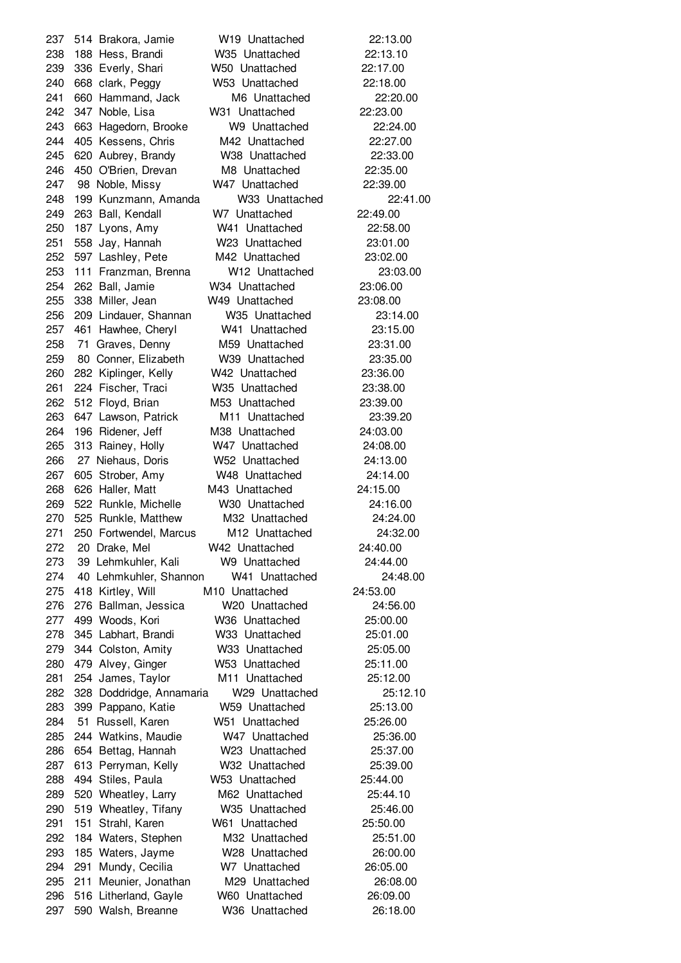514 Brakora, Jamie W19 Unattached 22:13.00 188 Hess, Brandi W35 Unattached 22:13.10 336 Everly, Shari W50 Unattached 22:17.00 668 clark, Peggy W53 Unattached 22:18.00 660 Hammand, Jack M6 Unattached 22:20.00 347 Noble, Lisa W31 Unattached 22:23.00 663 Hagedorn, Brooke W9 Unattached 22:24.00 405 Kessens, Chris M42 Unattached 22:27.00 620 Aubrey, Brandy W38 Unattached 22:33.00 450 O'Brien, Drevan M8 Unattached 22:35.00 98 Noble, Missy W47 Unattached 22:39.00 199 Kunzmann, Amanda W33 Unattached 22:41.00 263 Ball, Kendall W7 Unattached 22:49.00 187 Lyons, Amy W41 Unattached 22:58.00 558 Jay, Hannah W23 Unattached 23:01.00 597 Lashley, Pete M42 Unattached 23:02.00 111 Franzman, Brenna W12 Unattached 23:03.00 262 Ball, Jamie W34 Unattached 23:06.00 338 Miller, Jean W49 Unattached 23:08.00 209 Lindauer, Shannan W35 Unattached 23:14.00 461 Hawhee, Cheryl W41 Unattached 23:15.00 71 Graves, Denny M59 Unattached 23:31.00 80 Conner, Elizabeth W39 Unattached 23:35.00 282 Kiplinger, Kelly W42 Unattached 23:36.00 224 Fischer, Traci W35 Unattached 23:38.00 512 Floyd, Brian M53 Unattached 23:39.00 647 Lawson, Patrick M11 Unattached 23:39.20 196 Ridener, Jeff M38 Unattached 24:03.00 313 Rainey, Holly W47 Unattached 24:08.00 27 Niehaus, Doris W52 Unattached 24:13.00 605 Strober, Amy W48 Unattached 24:14.00 626 Haller, Matt M43 Unattached 24:15.00 522 Runkle, Michelle W30 Unattached 24:16.00 525 Runkle, Matthew M32 Unattached 24:24.00 250 Fortwendel, Marcus M12 Unattached 24:32.00 20 Drake, Mel W42 Unattached 24:40.00 39 Lehmkuhler, Kali W9 Unattached 24:44.00 40 Lehmkuhler, Shannon W41 Unattached 24:48.00 418 Kirtley, Will M10 Unattached 24:53.00 276 Ballman, Jessica W20 Unattached 24:56.00 499 Woods, Kori W36 Unattached 25:00.00 345 Labhart, Brandi W33 Unattached 25:01.00 344 Colston, Amity W33 Unattached 25:05.00 479 Alvey, Ginger W53 Unattached 25:11.00 254 James, Taylor M11 Unattached 25:12.00 328 Doddridge, Annamaria W29 Unattached 25:12.10 399 Pappano, Katie W59 Unattached 25:13.00 51 Russell, Karen W51 Unattached 25:26.00 244 Watkins, Maudie W47 Unattached 25:36.00 654 Bettag, Hannah W23 Unattached 25:37.00 613 Perryman, Kelly W32 Unattached 25:39.00 494 Stiles, Paula W53 Unattached 25:44.00 520 Wheatley, Larry M62 Unattached 25:44.10 519 Wheatley, Tifany W35 Unattached 25:46.00 151 Strahl, Karen W61 Unattached 25:50.00 184 Waters, Stephen M32 Unattached 25:51.00 185 Waters, Jayme W28 Unattached 26:00.00 291 Mundy, Cecilia W7 Unattached 26:05.00 211 Meunier, Jonathan M29 Unattached 26:08.00 516 Litherland, Gayle W60 Unattached 26:09.00 590 Walsh, Breanne W36 Unattached 26:18.00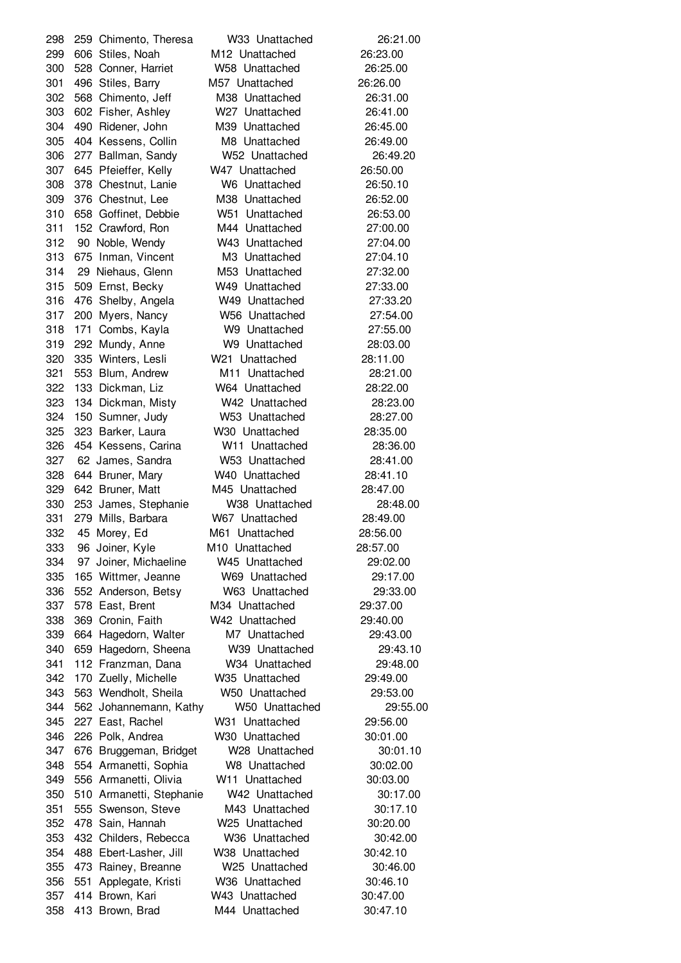259 Chimento, Theresa W33 Unattached 26:21.00 606 Stiles, Noah M12 Unattached 26:23.00 528 Conner, Harriet W58 Unattached 26:25.00 496 Stiles, Barry M57 Unattached 26:26.00 568 Chimento, Jeff M38 Unattached 26:31.00 602 Fisher, Ashley W27 Unattached 26:41.00 490 Ridener, John M39 Unattached 26:45.00 404 Kessens, Collin M8 Unattached 26:49.00 277 Ballman, Sandy W52 Unattached 26:49.20 645 Pfeieffer, Kelly W47 Unattached 26:50.00 378 Chestnut, Lanie W6 Unattached 26:50.10 376 Chestnut, Lee M38 Unattached 26:52.00 658 Goffinet, Debbie W51 Unattached 26:53.00 152 Crawford, Ron M44 Unattached 27:00.00 90 Noble, Wendy W43 Unattached 27:04.00 675 Inman, Vincent M3 Unattached 27:04.10 29 Niehaus, Glenn M53 Unattached 27:32.00 509 Ernst, Becky W49 Unattached 27:33.00 476 Shelby, Angela W49 Unattached 27:33.20 200 Myers, Nancy W56 Unattached 27:54.00 171 Combs, Kayla W9 Unattached 27:55.00 292 Mundy, Anne W9 Unattached 28:03.00 335 Winters, Lesli W21 Unattached 28:11.00 553 Blum, Andrew M11 Unattached 28:21.00 133 Dickman, Liz W64 Unattached 28:22.00 134 Dickman, Misty W42 Unattached 28:23.00 150 Sumner, Judy W53 Unattached 28:27.00 323 Barker, Laura W30 Unattached 28:35.00 454 Kessens, Carina W11 Unattached 28:36.00 62 James, Sandra W53 Unattached 28:41.00 644 Bruner, Mary W40 Unattached 28:41.10 642 Bruner, Matt M45 Unattached 28:47.00 253 James, Stephanie W38 Unattached 28:48.00 279 Mills, Barbara W67 Unattached 28:49.00 45 Morey, Ed M61 Unattached 28:56.00 96 Joiner, Kyle M10 Unattached 28:57.00 97 Joiner, Michaeline W45 Unattached 29:02.00 165 Wittmer, Jeanne W69 Unattached 29:17.00 552 Anderson, Betsy W63 Unattached 29:33.00 578 East, Brent M34 Unattached 29:37.00 369 Cronin, Faith W42 Unattached 29:40.00 664 Hagedorn, Walter M7 Unattached 29:43.00 659 Hagedorn, Sheena W39 Unattached 29:43.10 112 Franzman, Dana W34 Unattached 29:48.00 170 Zuelly, Michelle W35 Unattached 29:49.00 563 Wendholt, Sheila W50 Unattached 29:53.00 562 Johannemann, Kathy W50 Unattached 29:55.00 227 East, Rachel W31 Unattached 29:56.00 226 Polk, Andrea W30 Unattached 30:01.00 676 Bruggeman, Bridget W28 Unattached 30:01.10 554 Armanetti, Sophia W8 Unattached 30:02.00 556 Armanetti, Olivia W11 Unattached 30:03.00 510 Armanetti, Stephanie W42 Unattached 30:17.00 555 Swenson, Steve M43 Unattached 30:17.10 478 Sain, Hannah W25 Unattached 30:20.00 432 Childers, Rebecca W36 Unattached 30:42.00 488 Ebert-Lasher, Jill W38 Unattached 30:42.10 473 Rainey, Breanne W25 Unattached 30:46.00 551 Applegate, Kristi W36 Unattached 30:46.10 414 Brown, Kari W43 Unattached 30:47.00 413 Brown, Brad M44 Unattached 30:47.10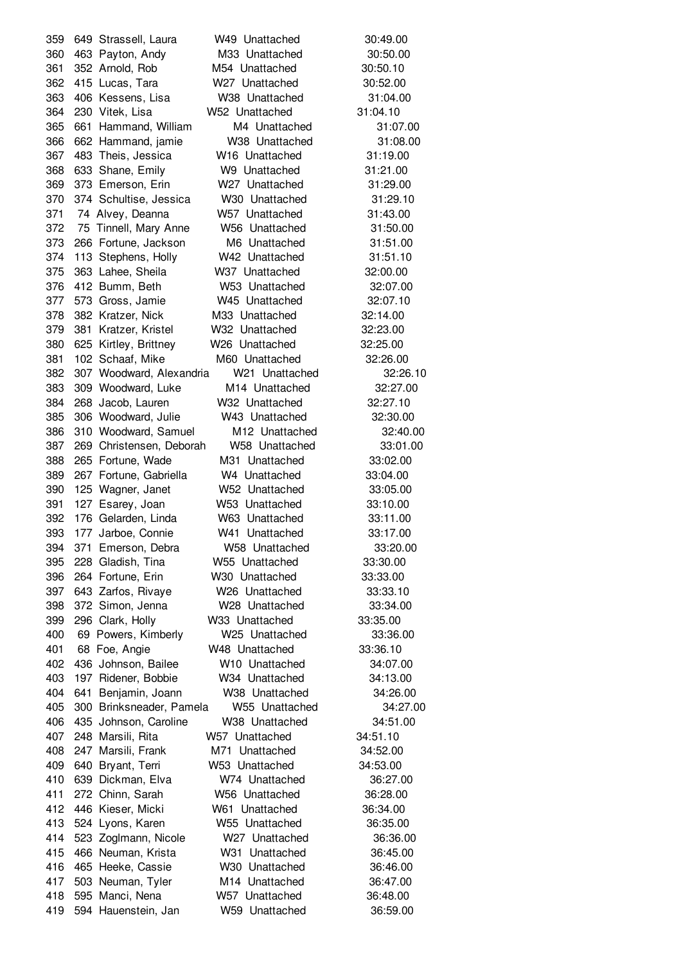649 Strassell, Laura W49 Unattached 30:49.00 463 Payton, Andy M33 Unattached 30:50.00 352 Arnold, Rob M54 Unattached 30:50.10 415 Lucas, Tara W27 Unattached 30:52.00 406 Kessens, Lisa W38 Unattached 31:04.00 230 Vitek, Lisa W52 Unattached 31:04.10 661 Hammand, William M4 Unattached 31:07.00 662 Hammand, jamie W38 Unattached 31:08.00 483 Theis, Jessica W16 Unattached 31:19.00 633 Shane, Emily W9 Unattached 31:21.00 373 Emerson, Erin W27 Unattached 31:29.00 374 Schultise, Jessica W30 Unattached 31:29.10 74 Alvey, Deanna W57 Unattached 31:43.00 75 Tinnell, Mary Anne W56 Unattached 31:50.00 266 Fortune, Jackson M6 Unattached 31:51.00 113 Stephens, Holly W42 Unattached 31:51.10 363 Lahee, Sheila W37 Unattached 32:00.00 412 Bumm, Beth W53 Unattached 32:07.00 573 Gross, Jamie W45 Unattached 32:07.10 382 Kratzer, Nick M33 Unattached 32:14.00 381 Kratzer, Kristel W32 Unattached 32:23.00 625 Kirtley, Brittney W26 Unattached 32:25.00 102 Schaaf, Mike M60 Unattached 32:26.00 307 Woodward, Alexandria W21 Unattached 32:26.10 309 Woodward, Luke M14 Unattached 32:27.00 268 Jacob, Lauren W32 Unattached 32:27.10 306 Woodward, Julie W43 Unattached 32:30.00 310 Woodward, Samuel M12 Unattached 32:40.00 269 Christensen, Deborah W58 Unattached 33:01.00 265 Fortune, Wade M31 Unattached 33:02.00 267 Fortune, Gabriella W4 Unattached 33:04.00 125 Wagner, Janet W52 Unattached 33:05.00 127 Esarey, Joan W53 Unattached 33:10.00 176 Gelarden, Linda W63 Unattached 33:11.00 177 Jarboe, Connie W41 Unattached 33:17.00 371 Emerson, Debra W58 Unattached 33:20.00 228 Gladish, Tina W55 Unattached 33:30.00 264 Fortune, Erin W30 Unattached 33:33.00 643 Zarfos, Rivaye W26 Unattached 33:33.10 372 Simon, Jenna W28 Unattached 33:34.00 296 Clark, Holly W33 Unattached 33:35.00 69 Powers, Kimberly W25 Unattached 33:36.00 68 Foe, Angie W48 Unattached 33:36.10 436 Johnson, Bailee W10 Unattached 34:07.00 197 Ridener, Bobbie W34 Unattached 34:13.00 641 Benjamin, Joann W38 Unattached 34:26.00 300 Brinksneader, Pamela W55 Unattached 34:27.00 435 Johnson, Caroline W38 Unattached 34:51.00 248 Marsili, Rita W57 Unattached 34:51.10 247 Marsili, Frank M71 Unattached 34:52.00 640 Bryant, Terri W53 Unattached 34:53.00 639 Dickman, Elva W74 Unattached 36:27.00 272 Chinn, Sarah W56 Unattached 36:28.00 446 Kieser, Micki W61 Unattached 36:34.00 524 Lyons, Karen W55 Unattached 36:35.00 523 Zoglmann, Nicole W27 Unattached 36:36.00 466 Neuman, Krista W31 Unattached 36:45.00 465 Heeke, Cassie W30 Unattached 36:46.00 503 Neuman, Tyler M14 Unattached 36:47.00 595 Manci, Nena W57 Unattached 36:48.00 594 Hauenstein, Jan W59 Unattached 36:59.00